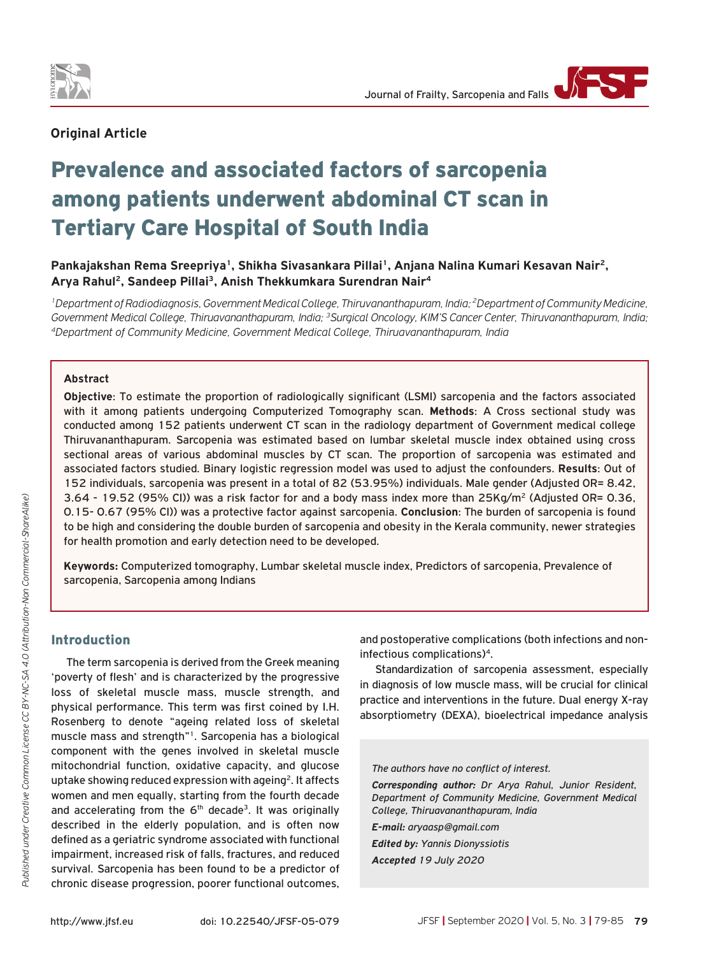

## **Original Article**

# Prevalence and associated factors of sarcopenia among patients underwent abdominal CT scan in Tertiary Care Hospital of South India

**Pankajakshan Rema Sreepriya1, Shikha Sivasankara Pillai1, Anjana Nalina Kumari Kesavan Nair2, Arya Rahul2, Sandeep Pillai3, Anish Thekkumkara Surendran Nair4**

*1Department of Radiodiagnosis, Government Medical College, Thiruvananthapuram, India; 2Department of Community Medicine, Government Medical College, Thiruavananthapuram, India; 3Surgical Oncology, KIM'S Cancer Center, Thiruvananthapuram, India; 4Department of Community Medicine, Government Medical College, Thiruavananthapuram, India*

#### **Abstract**

**Objective**: To estimate the proportion of radiologically significant (LSMI) sarcopenia and the factors associated with it among patients undergoing Computerized Tomography scan. **Methods**: A Cross sectional study was conducted among 152 patients underwent CT scan in the radiology department of Government medical college Thiruvananthapuram. Sarcopenia was estimated based on lumbar skeletal muscle index obtained using cross sectional areas of various abdominal muscles by CT scan. The proportion of sarcopenia was estimated and associated factors studied. Binary logistic regression model was used to adjust the confounders. **Results**: Out of 152 individuals, sarcopenia was present in a total of 82 (53.95%) individuals. Male gender (Adjusted OR= 8.42, 3.64 - 19.52 (95% CI)) was a risk factor for and a body mass index more than 25Kg/m<sup>2</sup> (Adjusted OR= 0.36, 0.15- 0.67 (95% CI)) was a protective factor against sarcopenia. **Conclusion**: The burden of sarcopenia is found to be high and considering the double burden of sarcopenia and obesity in the Kerala community, newer strategies for health promotion and early detection need to be developed.

**Keywords:** Computerized tomography, Lumbar skeletal muscle index, Predictors of sarcopenia, Prevalence of sarcopenia, Sarcopenia among Indians

## Introduction

The term sarcopenia is derived from the Greek meaning 'poverty of flesh' and is characterized by the progressive loss of skeletal muscle mass, muscle strength, and physical performance. This term was first coined by I.H. Rosenberg to denote "ageing related loss of skeletal muscle mass and strength"1. Sarcopenia has a biological component with the genes involved in skeletal muscle mitochondrial function, oxidative capacity, and glucose uptake showing reduced expression with ageing<sup>2</sup>. It affects women and men equally, starting from the fourth decade and accelerating from the  $6<sup>th</sup>$  decade<sup>3</sup>. It was originally described in the elderly population, and is often now defined as a geriatric syndrome associated with functional impairment, increased risk of falls, fractures, and reduced survival. Sarcopenia has been found to be a predictor of chronic disease progression, poorer functional outcomes,

and postoperative complications (both infections and noninfectious complications)4.

Standardization of sarcopenia assessment, especially in diagnosis of low muscle mass, will be crucial for clinical practice and interventions in the future. Dual energy X-ray absorptiometry (DEXA), bioelectrical impedance analysis

*The authors have no conflict of interest.*

*Corresponding author: Dr Arya Rahul, Junior Resident, Department of Community Medicine, Government Medical College, Thiruavananthapuram, India*

*E-mail: aryaasp@gmail.com*

*Edited by: Yannis Dionyssiotis Accepted 19 July 2020*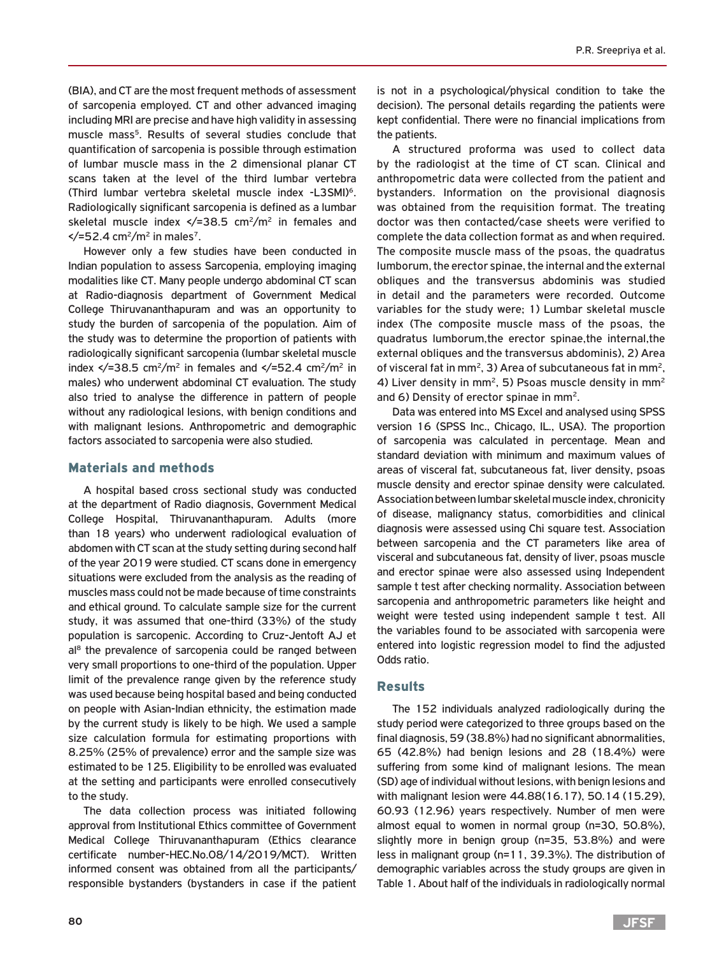(BIA), and CT are the most frequent methods of assessment of sarcopenia employed. CT and other advanced imaging including MRI are precise and have high validity in assessing muscle mass<sup>5</sup>. Results of several studies conclude that quantification of sarcopenia is possible through estimation of lumbar muscle mass in the 2 dimensional planar CT scans taken at the level of the third lumbar vertebra (Third lumbar vertebra skeletal muscle index -L3SMI)6. Radiologically significant sarcopenia is defined as a lumbar skeletal muscle index  $\langle$  = 38.5 cm<sup>2</sup>/m<sup>2</sup> in females and  $\frac{\epsilon}{=52.4}$  cm<sup>2</sup>/m<sup>2</sup> in males<sup>7</sup>.

However only a few studies have been conducted in Indian population to assess Sarcopenia, employing imaging modalities like CT. Many people undergo abdominal CT scan at Radio-diagnosis department of Government Medical College Thiruvananthapuram and was an opportunity to study the burden of sarcopenia of the population. Aim of the study was to determine the proportion of patients with radiologically significant sarcopenia (lumbar skeletal muscle index  $\langle$  =38.5 cm<sup>2</sup>/m<sup>2</sup> in females and  $\langle$  =52.4 cm<sup>2</sup>/m<sup>2</sup> in males) who underwent abdominal CT evaluation. The study also tried to analyse the difference in pattern of people without any radiological lesions, with benign conditions and with malignant lesions. Anthropometric and demographic factors associated to sarcopenia were also studied.

## Materials and methods

A hospital based cross sectional study was conducted at the department of Radio diagnosis, Government Medical College Hospital, Thiruvananthapuram. Adults (more than 18 years) who underwent radiological evaluation of abdomen with CT scan at the study setting during second half of the year 2019 were studied. CT scans done in emergency situations were excluded from the analysis as the reading of muscles mass could not be made because of time constraints and ethical ground. To calculate sample size for the current study, it was assumed that one-third (33%) of the study population is sarcopenic. According to Cruz-Jentoft AJ et  $al<sup>8</sup>$  the prevalence of sarcopenia could be ranged between very small proportions to one-third of the population. Upper limit of the prevalence range given by the reference study was used because being hospital based and being conducted on people with Asian-Indian ethnicity, the estimation made by the current study is likely to be high. We used a sample size calculation formula for estimating proportions with 8.25% (25% of prevalence) error and the sample size was estimated to be 125. Eligibility to be enrolled was evaluated at the setting and participants were enrolled consecutively to the study.

The data collection process was initiated following approval from Institutional Ethics committee of Government Medical College Thiruvananthapuram (Ethics clearance certificate number-HEC.No.08/14/2019/MCT). Written informed consent was obtained from all the participants/ responsible bystanders (bystanders in case if the patient

is not in a psychological/physical condition to take the decision). The personal details regarding the patients were kept confidential. There were no financial implications from the patients.

A structured proforma was used to collect data by the radiologist at the time of CT scan. Clinical and anthropometric data were collected from the patient and bystanders. Information on the provisional diagnosis was obtained from the requisition format. The treating doctor was then contacted/case sheets were verified to complete the data collection format as and when required. The composite muscle mass of the psoas, the quadratus lumborum, the erector spinae, the internal and the external obliques and the transversus abdominis was studied in detail and the parameters were recorded. Outcome variables for the study were; 1) Lumbar skeletal muscle index (The composite muscle mass of the psoas, the quadratus lumborum,the erector spinae,the internal,the external obliques and the transversus abdominis), 2) Area of visceral fat in mm<sup>2</sup>, 3) Area of subcutaneous fat in mm<sup>2</sup>, 4) Liver density in mm<sup>2</sup>, 5) Psoas muscle density in mm<sup>2</sup> and 6) Density of erector spinae in mm2.

Data was entered into MS Excel and analysed using SPSS version 16 (SPSS Inc., Chicago, IL., USA). The proportion of sarcopenia was calculated in percentage. Mean and standard deviation with minimum and maximum values of areas of visceral fat, subcutaneous fat, liver density, psoas muscle density and erector spinae density were calculated. Association between lumbar skeletal muscle index, chronicity of disease, malignancy status, comorbidities and clinical diagnosis were assessed using Chi square test. Association between sarcopenia and the CT parameters like area of visceral and subcutaneous fat, density of liver, psoas muscle and erector spinae were also assessed using Independent sample t test after checking normality. Association between sarcopenia and anthropometric parameters like height and weight were tested using independent sample t test. All the variables found to be associated with sarcopenia were entered into logistic regression model to find the adjusted Odds ratio.

#### Results

The 152 individuals analyzed radiologically during the study period were categorized to three groups based on the final diagnosis, 59 (38.8%) had no significant abnormalities, 65 (42.8%) had benign lesions and 28 (18.4%) were suffering from some kind of malignant lesions. The mean (SD) age of individual without lesions, with benign lesions and with malignant lesion were 44.88(16.17), 50.14 (15.29), 60.93 (12.96) years respectively. Number of men were almost equal to women in normal group (n=30, 50.8%), slightly more in benign group (n=35, 53.8%) and were less in malignant group (n=11, 39.3%). The distribution of demographic variables across the study groups are given in Table 1. About half of the individuals in radiologically normal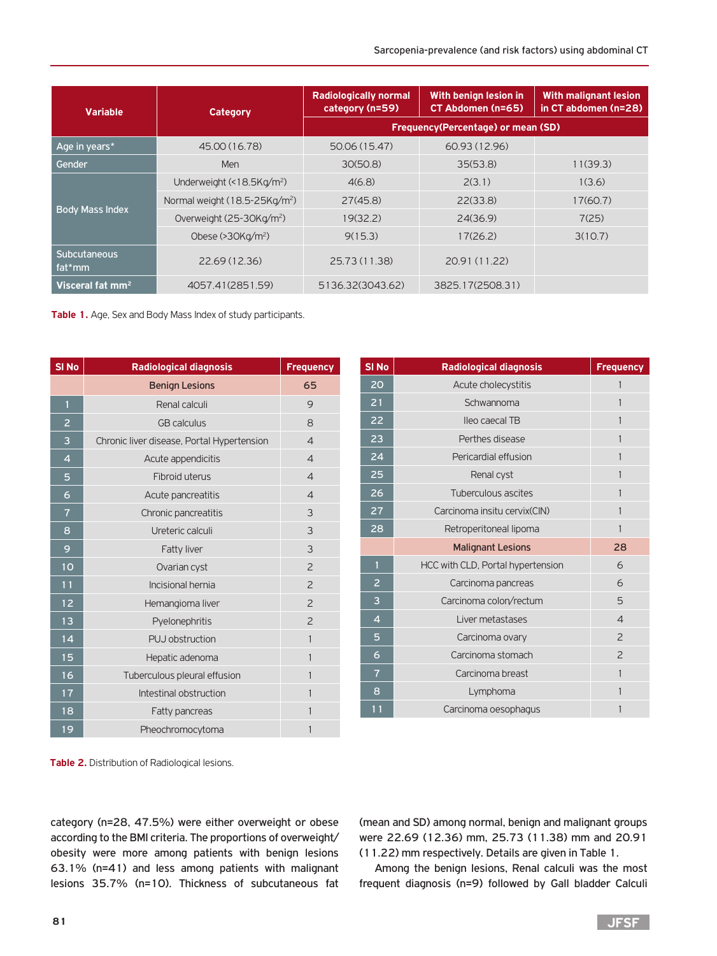| <b>Variable</b>               | <b>Category</b>                           | <b>Radiologically normal</b><br>category (n=59) | With benign lesion in<br>CT Abdomen (n=65) | <b>With malignant lesion</b><br>in CT abdomen (n=28) |
|-------------------------------|-------------------------------------------|-------------------------------------------------|--------------------------------------------|------------------------------------------------------|
|                               |                                           | <b>Frequency(Percentage) or mean (SD)</b>       |                                            |                                                      |
| Age in years*                 | 45.00 (16.78)                             | 50.06 (15.47)                                   | 60.93 (12.96)                              |                                                      |
| Gender                        | Men                                       | 30(50.8)                                        | 35(53.8)                                   | 11(39.3)                                             |
|                               | Underweight (<18.5Kg/m <sup>2</sup> )     | 4(6.8)                                          | 2(3.1)                                     | 1(3.6)                                               |
|                               | Normal weight (18.5-25Kg/m <sup>2</sup> ) | 27(45.8)                                        | 22(33.8)                                   | 17(60.7)                                             |
| <b>Body Mass Index</b>        | Overweight (25-30Kg/m <sup>2</sup> )      | 19(32.2)                                        | 24(36.9)                                   | 7(25)                                                |
|                               | Obese $(>30Kq/m^2)$                       | 9(15.3)                                         | 17(26.2)                                   | 3(10.7)                                              |
| <b>Subcutaneous</b><br>fat*mm | 22.69 (12.36)                             | 25.73 (11.38)                                   | 20.91 (11.22)                              |                                                      |
| Visceral fat $mm2$            | 4057.41(2851.59)                          | 5136.32(3043.62)                                | 3825.17(2508.31)                           |                                                      |

**Table 1.** Age, Sex and Body Mass Index of study participants.

| SI <sub>No</sub> | <b>Radiological diagnosis</b>              | <b>Frequency</b>         |
|------------------|--------------------------------------------|--------------------------|
|                  | <b>Benign Lesions</b>                      | 65                       |
| $\mathbf{1}$     | Renal calculi                              | 9                        |
| $\overline{a}$   | <b>GB</b> calculus                         | $\mathsf{B}$             |
| 3                | Chronic liver disease, Portal Hypertension | $\overline{\mathcal{L}}$ |
| $\overline{4}$   | Acute appendicitis                         | $\overline{\mathcal{L}}$ |
| 5                | <b>Fibroid uterus</b>                      | $\overline{\mathcal{A}}$ |
| 6                | Acute pancreatitis                         | $\overline{\mathcal{A}}$ |
| $\overline{7}$   | Chronic pancreatitis                       | 3                        |
| 8                | Ureteric calculi                           | 3                        |
| 9                | Fatty liver                                | 3                        |
| 10               | Ovarian cyst                               | $\overline{c}$           |
| 11               | Incisional hernia                          | $\overline{z}$           |
| 12               | Hemangioma liver                           | $\overline{c}$           |
| 13               | Pyelonephritis                             | $\overline{\phantom{0}}$ |
| 14               | PUJ obstruction                            | 1                        |
| 15               | Hepatic adenoma                            | $\mathbf{1}$             |
| 16               | Tuberculous pleural effusion               | $\mathbf{1}$             |
| 17               | Intestinal obstruction                     | $\mathbf{1}$             |
| 18               | <b>Fatty pancreas</b>                      | 1                        |
| 19               | Pheochromocytoma                           | 1                        |

| <b>SI No</b>   | <b>Radiological diagnosis</b>     | <b>Frequency</b>         |
|----------------|-----------------------------------|--------------------------|
| 20             | Acute cholecystitis               | $\mathbf{1}$             |
| 21             | Schwannoma                        | $\mathbf{1}$             |
| 22             | lleo caecal TB                    | 1                        |
| 23             | Perthes disease                   | 1                        |
| 24             | Pericardial effusion              | 1                        |
| 25             | Renal cyst                        | $\mathbf{1}$             |
| 26             | Tuberculous ascites               | 1                        |
| 27             | Carcinoma insitu cervix (CIN)     | $\mathbf{1}$             |
| 28             | Retroperitoneal lipoma            | $\mathbf{1}$             |
|                | <b>Malignant Lesions</b>          | 28                       |
| $\mathbf{1}$   | HCC with CLD, Portal hypertension | 6                        |
| $\overline{2}$ | Carcinoma pancreas                | 6                        |
| 3              | Carcinoma colon/rectum            | 5                        |
| $\overline{4}$ | Liver metastases                  | $\overline{\mathcal{L}}$ |
| 5              | Carcinoma ovary                   | $\overline{c}$           |
| 6              | Carcinoma stomach                 | $\overline{c}$           |
| $\overline{7}$ | Carcinoma breast                  | $\mathbf{1}$             |
| 8              | Lymphoma                          | $\mathbf{1}$             |
| 11             | Carcinoma oesophagus              | 1                        |

**Table 2.** Distribution of Radiological lesions.

category (n=28, 47.5%) were either overweight or obese according to the BMI criteria. The proportions of overweight/ obesity were more among patients with benign lesions 63.1% (n=41) and less among patients with malignant lesions 35.7% (n=10). Thickness of subcutaneous fat

(mean and SD) among normal, benign and malignant groups were 22.69 (12.36) mm, 25.73 (11.38) mm and 20.91 (11.22) mm respectively. Details are given in Table 1.

Among the benign lesions, Renal calculi was the most frequent diagnosis (n=9) followed by Gall bladder Calculi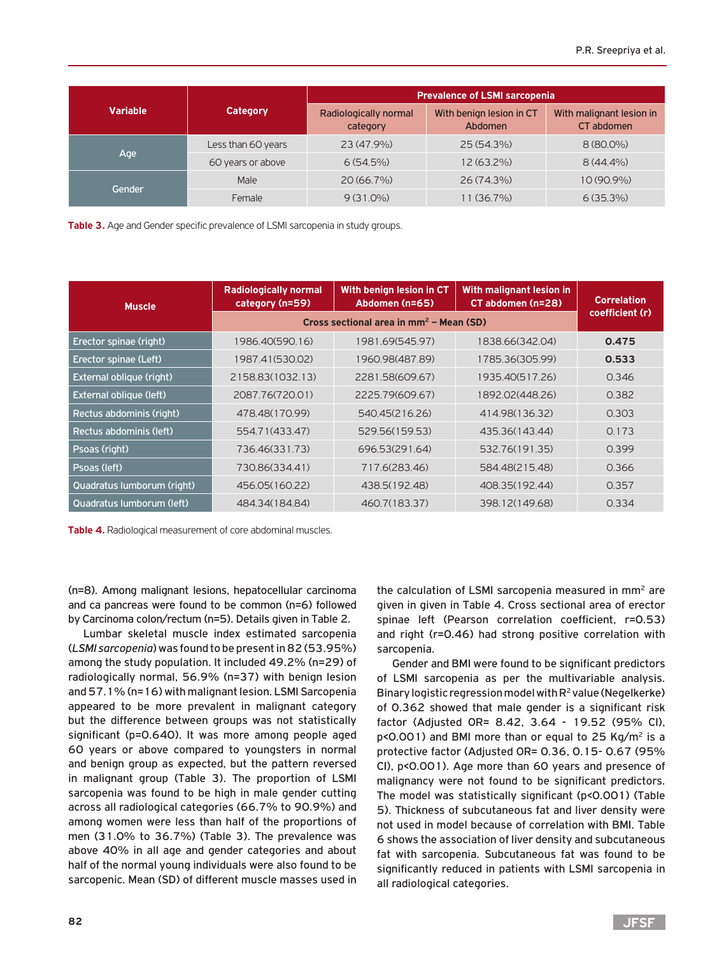|                 | <b>Category</b>    | <b>Prevalence of LSMI sarcopenia</b> |                                     |                                        |  |
|-----------------|--------------------|--------------------------------------|-------------------------------------|----------------------------------------|--|
| <b>Variable</b> |                    | Radiologically normal<br>category    | With benign lesion in CT<br>Abdomen | With malignant lesion in<br>CT abdomen |  |
| Age             | Less than 60 years | 23 (47.9%)                           | 25 (54.3%)                          | $8(80.0\%)$                            |  |
|                 | 60 years or above  | $6(54.5\%)$                          | $12(63.2\%)$                        | $8(44.4\%)$                            |  |
| Gender          | Male               | $20(66.7\%)$                         | 26 (74.3%)                          | $10(90.9\%)$                           |  |
|                 | Female             | $9(31.0\%)$                          | 11 (36.7%)                          | $6(35.3\%)$                            |  |

**Table 3.** Age and Gender specific prevalence of LSMI sarcopenia in study groups.

| <b>Muscle</b>              | <b>Radiologically normal</b><br>category (n=59) | With benign lesion in CT<br>Abdomen (n=65) | With malignant lesion in<br>CT abdomen (n=28) | <b>Correlation</b> |
|----------------------------|-------------------------------------------------|--------------------------------------------|-----------------------------------------------|--------------------|
|                            | Cross sectional area in $mm^2$ – Mean (SD)      | coefficient (r)                            |                                               |                    |
| Erector spinae (right)     | 1986.40(590.16)                                 | 1981.69(545.97)                            | 1838.66(342.04)                               | 0.475              |
| Erector spinae (Left)      | 1987.41(530.02)                                 | 1960.98(487.89)                            | 1785.36(305.99)                               | 0.533              |
| External oblique (right)   | 2158.83(1032.13)                                | 2281.58(609.67)                            | 1935.40(517.26)                               | 0.346              |
| External oblique (left)    | 2087.76(720.01)                                 | 2225.79(609.67)                            | 1892.02(448.26)                               | 0.382              |
| Rectus abdominis (right)   | 478.48(170.99)                                  | 540.45(216.26)                             | 414.98(136.32)                                | 0.303              |
| Rectus abdominis (left)    | 554.71(433.47)                                  | 529.56(159.53)                             | 435.36(143.44)                                | 0.173              |
| Psoas (right)              | 736.46(331.73)                                  | 696.53(291.64)                             | 532.76(191.35)                                | 0.399              |
| Psoas (left)               | 730.86(334.41)                                  | 717.6(283.46)                              | 584.48(215.48)                                | 0.366              |
| Quadratus lumborum (right) | 456.05(160.22)                                  | 438.5(192.48)                              | 408.35(192.44)                                | 0.357              |
| Quadratus Iumborum (left)  | 484.34(184.84)                                  | 460.7(183.37)                              | 398.12(149.68)                                | 0.334              |

**Table 4.** Radiological measurement of core abdominal muscles.

(n=8). Among malignant lesions, hepatocellular carcinoma and ca pancreas were found to be common (n=6) followed by Carcinoma colon/rectum (n=5). Details given in Table 2.

Lumbar skeletal muscle index estimated sarcopenia (*LSMI sarcopenia*) was found to be present in 82 (53.95%) among the study population. It included 49.2% (n=29) of radiologically normal, 56.9% (n=37) with benign lesion and 57.1% (n=16) with malignant lesion. LSMI Sarcopenia appeared to be more prevalent in malignant category but the difference between groups was not statistically significant (p=0.640). It was more among people aged 60 years or above compared to youngsters in normal and benign group as expected, but the pattern reversed in malignant group (Table 3). The proportion of LSMI sarcopenia was found to be high in male gender cutting across all radiological categories (66.7% to 90.9%) and among women were less than half of the proportions of men (31.0% to 36.7%) (Table 3). The prevalence was above 40% in all age and gender categories and about half of the normal young individuals were also found to be sarcopenic. Mean (SD) of different muscle masses used in

the calculation of LSMI sarcopenia measured in mm<sup>2</sup> are given in given in Table 4. Cross sectional area of erector spinae left (Pearson correlation coefficient, r=0.53) and right (r=0.46) had strong positive correlation with sarcopenia.

Gender and BMI were found to be significant predictors of LSMI sarcopenia as per the multivariable analysis. Binary logistic regression model with  $R^2$  value (Negelkerke) of 0.362 showed that male gender is a significant risk factor (Adjusted OR= 8.42, 3.64 - 19.52 (95% CI),  $p$ <0.001) and BMI more than or equal to 25 Kg/m<sup>2</sup> is a protective factor (Adjusted OR= 0.36, 0.15- 0.67 (95% CI), p<0.001). Age more than 60 years and presence of malignancy were not found to be significant predictors. The model was statistically significant (p<0.001) (Table 5). Thickness of subcutaneous fat and liver density were not used in model because of correlation with BMI. Table 6 shows the association of liver density and subcutaneous fat with sarcopenia. Subcutaneous fat was found to be significantly reduced in patients with LSMI sarcopenia in all radiological categories.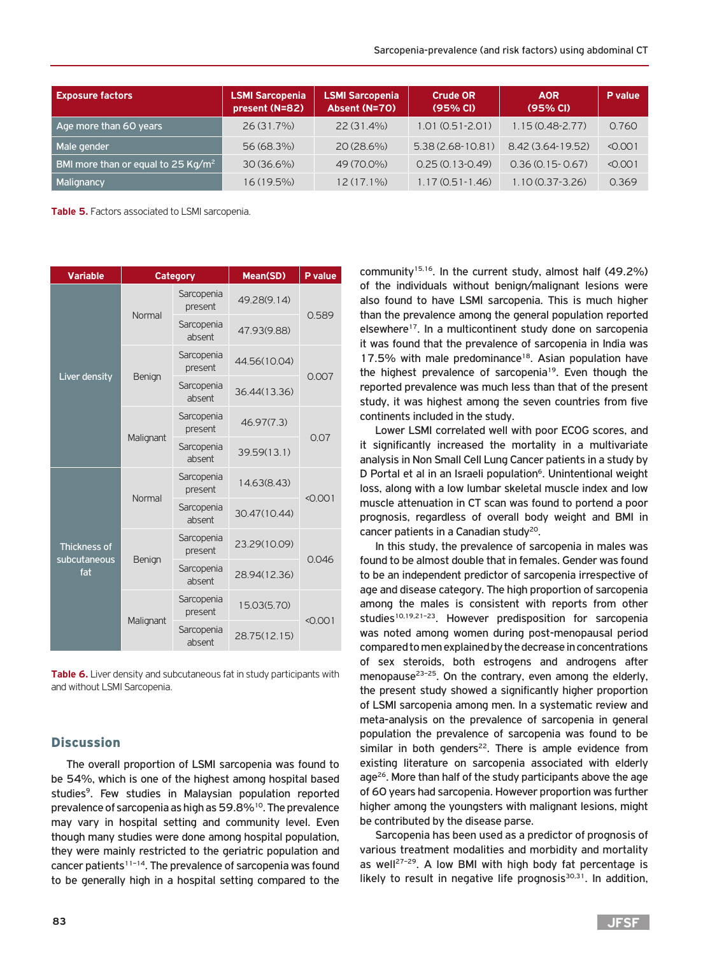| <b>Exposure factors</b>                        | <b>LSMI Sarcopenia</b><br>present (N=82) | <b>LSMI Sarcopenia</b><br>Absent (N=70) | <b>Crude OR</b><br>(95% CI) | <b>AOR</b><br>(95% CI) | P value |
|------------------------------------------------|------------------------------------------|-----------------------------------------|-----------------------------|------------------------|---------|
| Age more than 60 years                         | $26(31.7\%)$                             | 22 (31.4%)                              | $1.01(0.51 - 2.01)$         | $1.15(0.48-2.77)$      | 0.760   |
| Male gender                                    | 56 (68.3%)                               | 20 (28.6%)                              | $5.38(2.68-10.81)$          | 8.42 (3.64-19.52)      | < 0.001 |
| BMI more than or equal to 25 Kg/m <sup>2</sup> | $30(36.6\%)$                             | 49 (70.0%)                              | $0.25(0.13 - 0.49)$         | $0.36(0.15 - 0.67)$    | < 0.001 |
| Malignancy                                     | $16(19.5\%)$                             | $12(17.1\%)$                            | $1.17(0.51 - 1.46)$         | $1.10(0.37 - 3.26)$    | 0.369   |

**Table 5.** Factors associated to LSMI sarcopenia.

| <b>Variable</b>                     | Category  |                       | Mean(SD)     | P value |  |
|-------------------------------------|-----------|-----------------------|--------------|---------|--|
|                                     | Normal    | Sarcopenia<br>present | 49.28(9.14)  | 0.589   |  |
|                                     |           | Sarcopenia<br>absent  | 47.93(9.88)  |         |  |
| Liver density                       | Benign    | Sarcopenia<br>present | 44.56(10.04) | 0.007   |  |
|                                     |           | Sarcopenia<br>absent  | 36.44(13.36) |         |  |
|                                     | Malignant | Sarcopenia<br>present | 46.97(7.3)   | 0.07    |  |
|                                     |           | Sarcopenia<br>absent  | 39.59(13.1)  |         |  |
|                                     | Normal    | Sarcopenia<br>present | 14.63(8.43)  | < 0.001 |  |
|                                     |           | Sarcopenia<br>absent  | 30.47(10.44) |         |  |
| <b>Thickness of</b><br>subcutaneous | Benign    | Sarcopenia<br>present | 23.29(10.09) | 0.046   |  |
| fat                                 |           | Sarcopenia<br>absent  | 28.94(12.36) |         |  |
|                                     |           | Sarcopenia<br>present | 15.03(5.70)  | < 0.001 |  |
|                                     | Malignant | Sarcopenia<br>absent  | 28.75(12.15) |         |  |

**Table 6.** Liver density and subcutaneous fat in study participants with and without LSMI Sarcopenia.

#### **Discussion**

The overall proportion of LSMI sarcopenia was found to be 54%, which is one of the highest among hospital based studies<sup>9</sup>. Few studies in Malaysian population reported prevalence of sarcopenia as high as 59.8%<sup>10</sup>. The prevalence may vary in hospital setting and community level. Even though many studies were done among hospital population, they were mainly restricted to the geriatric population and cancer patients<sup> $11-14$ </sup>. The prevalence of sarcopenia was found to be generally high in a hospital setting compared to the

community<sup>15,16</sup>. In the current study, almost half (49.2%) of the individuals without benign/malignant lesions were also found to have LSMI sarcopenia. This is much higher than the prevalence among the general population reported elsewhere<sup>17</sup>. In a multicontinent study done on sarcopenia it was found that the prevalence of sarcopenia in India was 17.5% with male predominance<sup>18</sup>. Asian population have the highest prevalence of sarcopenia<sup>19</sup>. Even though the reported prevalence was much less than that of the present study, it was highest among the seven countries from five continents included in the study.

Lower LSMI correlated well with poor ECOG scores, and it significantly increased the mortality in a multivariate analysis in Non Small Cell Lung Cancer patients in a study by D Portal et al in an Israeli population<sup>6</sup>. Unintentional weight loss, along with a low lumbar skeletal muscle index and low muscle attenuation in CT scan was found to portend a poor prognosis, regardless of overall body weight and BMI in cancer patients in a Canadian study<sup>20</sup>.

In this study, the prevalence of sarcopenia in males was found to be almost double that in females. Gender was found to be an independent predictor of sarcopenia irrespective of age and disease category. The high proportion of sarcopenia among the males is consistent with reports from other studies<sup>10,19,21-23</sup>. However predisposition for sarcopenia was noted among women during post-menopausal period compared to men explained by the decrease in concentrations of sex steroids, both estrogens and androgens after menopause<sup>23-25</sup>. On the contrary, even among the elderly, the present study showed a significantly higher proportion of LSMI sarcopenia among men. In a systematic review and meta-analysis on the prevalence of sarcopenia in general population the prevalence of sarcopenia was found to be similar in both genders<sup>22</sup>. There is ample evidence from existing literature on sarcopenia associated with elderly age<sup>26</sup>. More than half of the study participants above the age of 60 years had sarcopenia. However proportion was further higher among the youngsters with malignant lesions, might be contributed by the disease parse.

Sarcopenia has been used as a predictor of prognosis of various treatment modalities and morbidity and mortality as well<sup>27-29</sup>. A low BMI with high body fat percentage is likely to result in negative life prognosis $30,31$ . In addition,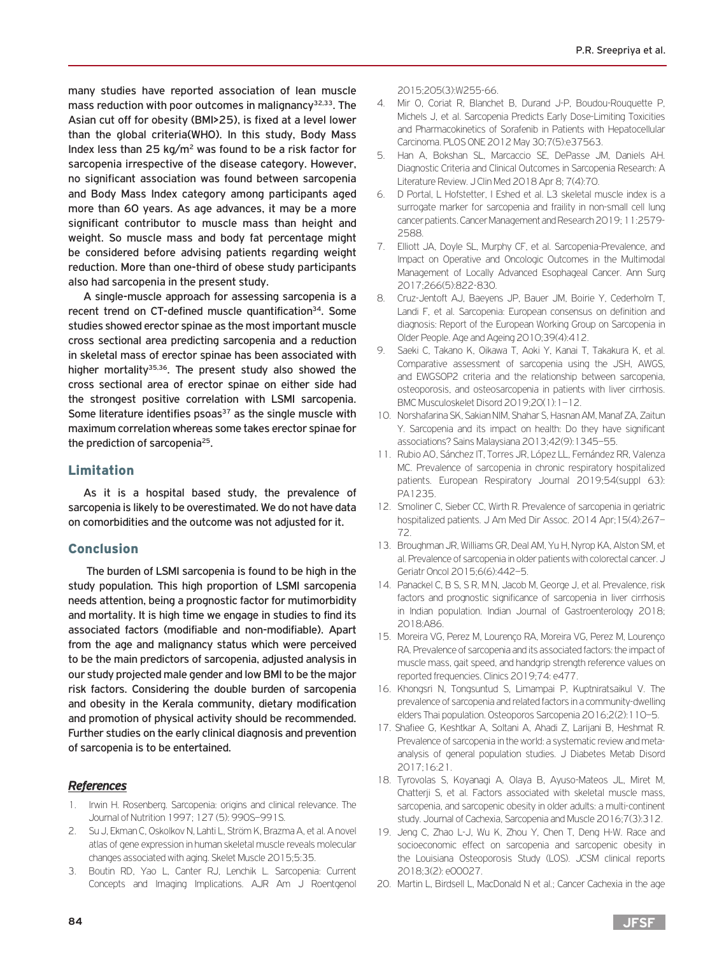many studies have reported association of lean muscle mass reduction with poor outcomes in malignancy $32,33$ . The Asian cut off for obesity (BMI>25), is fixed at a level lower than the global criteria(WHO). In this study, Body Mass Index less than  $25 \text{ kg/m}^2$  was found to be a risk factor for sarcopenia irrespective of the disease category. However, no significant association was found between sarcopenia and Body Mass Index category among participants aged more than 60 years. As age advances, it may be a more significant contributor to muscle mass than height and weight. So muscle mass and body fat percentage might be considered before advising patients regarding weight reduction. More than one-third of obese study participants also had sarcopenia in the present study.

A single-muscle approach for assessing sarcopenia is a recent trend on CT-defined muscle quantification<sup>34</sup>. Some studies showed erector spinae as the most important muscle cross sectional area predicting sarcopenia and a reduction in skeletal mass of erector spinae has been associated with higher mortality<sup>35,36</sup>. The present study also showed the cross sectional area of erector spinae on either side had the strongest positive correlation with LSMI sarcopenia. Some literature identifies psoas<sup>37</sup> as the single muscle with maximum correlation whereas some takes erector spinae for the prediction of sarcopenia<sup>25</sup>.

## Limitation

As it is a hospital based study, the prevalence of sarcopenia is likely to be overestimated. We do not have data on comorbidities and the outcome was not adjusted for it.

## Conclusion

 The burden of LSMI sarcopenia is found to be high in the study population. This high proportion of LSMI sarcopenia needs attention, being a prognostic factor for mutimorbidity and mortality. It is high time we engage in studies to find its associated factors (modifiable and non-modifiable). Apart from the age and malignancy status which were perceived to be the main predictors of sarcopenia, adjusted analysis in our study projected male gender and low BMI to be the major risk factors. Considering the double burden of sarcopenia and obesity in the Kerala community, dietary modification and promotion of physical activity should be recommended. Further studies on the early clinical diagnosis and prevention of sarcopenia is to be entertained.

## *References*

- 1. Irwin H. Rosenberg. Sarcopenia: origins and clinical relevance. The Journal of Nutrition 1997; 127 (5): 990S–991S.
- 2. Su J, Ekman C, Oskolkov N, Lahti L, Ström K, Brazma A, et al. A novel atlas of gene expression in human skeletal muscle reveals molecular changes associated with aging. Skelet Muscle 2015;5:35.
- 3. Boutin RD, Yao L, Canter RJ, Lenchik L. Sarcopenia: Current Concepts and Imaging Implications. AJR Am J Roentgenol

2015;205(3):W255-66.

- 4. Mir O, Coriat R, Blanchet B, Durand J-P, Boudou-Rouquette P, Michels J, et al. Sarcopenia Predicts Early Dose-Limiting Toxicities and Pharmacokinetics of Sorafenib in Patients with Hepatocellular Carcinoma. PLOS ONE 2012 May 30;7(5):e37563.
- 5. Han A, Bokshan SL, Marcaccio SE, DePasse JM, Daniels AH. Diagnostic Criteria and Clinical Outcomes in Sarcopenia Research: A Literature Review. J Clin Med 2018 Apr 8; 7(4):70.
- 6. D Portal, L Hofstetter, I Eshed et al. L3 skeletal muscle index is a surrogate marker for sarcopenia and fraility in non-small cell lung cancer patients. Cancer Management and Research 2019; 11:2579- 2588.
- 7. Elliott JA, Doyle SL, Murphy CF, et al. Sarcopenia-Prevalence, and Impact on Operative and Oncologic Outcomes in the Multimodal Management of Locally Advanced Esophageal Cancer. Ann Surg 2017;266(5):822-830.
- 8. Cruz-Jentoft AJ, Baeyens JP, Bauer JM, Boirie Y, Cederholm T, Landi F, et al. Sarcopenia: European consensus on definition and diagnosis: Report of the European Working Group on Sarcopenia in Older People. Age and Ageing 2010;39(4):412.
- 9. Saeki C, Takano K, Oikawa T, Aoki Y, Kanai T, Takakura K, et al. Comparative assessment of sarcopenia using the JSH, AWGS, and EWGSOP2 criteria and the relationship between sarcopenia, osteoporosis, and osteosarcopenia in patients with liver cirrhosis. BMC Musculoskelet Disord 2019:20(1): 1-12.
- 10. Norshafarina SK, Sakian NIM, Shahar S, Hasnan AM, Manaf ZA, Zaitun Y. Sarcopenia and its impact on health: Do they have significant associations? Sains Malaysiana 2013;42(9):1345–55.
- 11. Rubio AO, Sánchez IT, Torres JR, López LL, Fernández RR, Valenza MC. Prevalence of sarcopenia in chronic respiratory hospitalized patients. European Respiratory Journal 2019;54(suppl 63): PA1235.
- 12. Smoliner C, Sieber CC, Wirth R. Prevalence of sarcopenia in geriatric hospitalized patients. J Am Med Dir Assoc. 2014 Apr;15(4):267– 72.
- 13. Broughman JR, Williams GR, Deal AM, Yu H, Nyrop KA, Alston SM, et al. Prevalence of sarcopenia in older patients with colorectal cancer. J Geriatr Oncol 2015;6(6):442–5.
- 14. Panackel C, B S, S R, M N, Jacob M, George J, et al. Prevalence, risk factors and prognostic significance of sarcopenia in liver cirrhosis in Indian population. Indian Journal of Gastroenterology 2018; 2018:A86.
- 15. Moreira VG, Perez M, Lourenço RA, Moreira VG, Perez M, Lourenço RA. Prevalence of sarcopenia and its associated factors: the impact of muscle mass, gait speed, and handgrip strength reference values on reported frequencies. Clinics 2019;74: e477.
- 16. Khongsri N, Tongsuntud S, Limampai P, Kuptniratsaikul V. The prevalence of sarcopenia and related factors in a community-dwelling elders Thai population. Osteoporos Sarcopenia 2016;2(2):110–5.
- 17. Shafiee G, Keshtkar A, Soltani A, Ahadi Z, Larijani B, Heshmat R. Prevalence of sarcopenia in the world: a systematic review and metaanalysis of general population studies. J Diabetes Metab Disord 2017;16:21.
- 18. Tyrovolas S, Koyanagi A, Olaya B, Ayuso-Mateos JL, Miret M, Chatterji S, et al. Factors associated with skeletal muscle mass, sarcopenia, and sarcopenic obesity in older adults: a multi-continent study. Journal of Cachexia, Sarcopenia and Muscle 2016;7(3):312.
- 19. Jeng C, Zhao L-J, Wu K, Zhou Y, Chen T, Deng H-W. Race and socioeconomic effect on sarcopenia and sarcopenic obesity in the Louisiana Osteoporosis Study (LOS). JCSM clinical reports 2018;3(2): e00027.
- 20. Martin L, Birdsell L, MacDonald N et al.; Cancer Cachexia in the age